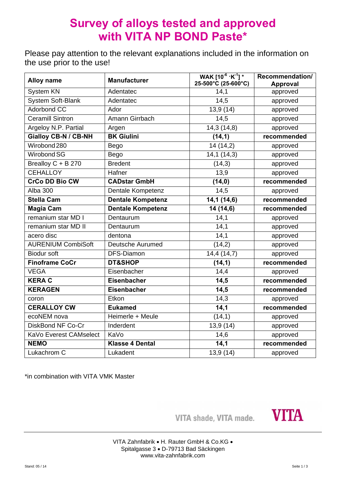# **Survey of alloys tested and approved with VITA NP BOND Paste\***

Please pay attention to the relevant explanations included in the information on the use prior to the use!

| <b>Alloy name</b>           | <b>Manufacturer</b>      | WAK $[10^{-6}$ $\cdot$ K <sup>-1</sup> ] *<br>$25 - 500^{\circ}$ C (25-600°C) | Recommendation/<br><b>Approval</b> |
|-----------------------------|--------------------------|-------------------------------------------------------------------------------|------------------------------------|
| System KN                   | Adentatec                | 14,1                                                                          | approved                           |
| <b>System Soft-Blank</b>    | Adentatec                | 14,5                                                                          | approved                           |
| <b>Adorbond CC</b>          | Ador                     | 13,9 (14)                                                                     | approved                           |
| <b>Ceramill Sintron</b>     | Amann Girrbach           | 14,5                                                                          | approved                           |
| Argeloy N.P. Partial        | Argen                    | 14,3 (14,8)                                                                   | approved                           |
| <b>Gialloy CB-N / CB-NH</b> | <b>BK Giulini</b>        | (14,1)                                                                        | recommended                        |
| Wirobond 280                | Bego                     | 14 (14,2)                                                                     | approved                           |
| Wirobond SG                 | <b>Bego</b>              | 14,1(14,3)                                                                    | approved                           |
| Brealloy C + B 270          | <b>Bredent</b>           | (14,3)                                                                        | approved                           |
| <b>CEHALLOY</b>             | Hafner                   | 13,9                                                                          | approved                           |
| <b>CrCo DD Bio CW</b>       | <b>CADstar GmbH</b>      | (14, 0)                                                                       | recommended                        |
| <b>Alba 300</b>             | Dentale Kompetenz        | 14,5                                                                          | approved                           |
| <b>Stella Cam</b>           | <b>Dentale Kompetenz</b> | 14,1(14,6)                                                                    | recommended                        |
| <b>Magia Cam</b>            | <b>Dentale Kompetenz</b> | 14 (14,6)                                                                     | recommended                        |
| remanium star MD I          | Dentaurum                | 14,1                                                                          | approved                           |
| remanium star MD II         | Dentaurum                | 14,1                                                                          | approved                           |
| acero disc                  | dentona                  | 14,1                                                                          | approved                           |
| <b>AURENIUM CombiSoft</b>   | Deutsche Aurumed         | (14,2)                                                                        | approved                           |
| <b>Biodur soft</b>          | DFS-Diamon               | 14,4 (14,7)                                                                   | approved                           |
| <b>Finoframe CoCr</b>       | DT&SHOP                  | (14, 1)                                                                       | recommended                        |
| <b>VEGA</b>                 | Eisenbacher              | 14,4                                                                          | approved                           |
| <b>KERA C</b>               | <b>Eisenbacher</b>       | 14,5                                                                          | recommended                        |
| <b>KERAGEN</b>              | Eisenbacher              | 14,5                                                                          | recommended                        |
| coron                       | Etkon                    | 14,3                                                                          | approved                           |
| <b>CERALLOY CW</b>          | <b>Eukamed</b>           | 14,1                                                                          | recommended                        |
| ecoNEM nova                 | Heimerle + Meule         | (14,1)                                                                        | approved                           |
| DiskBond NF Co-Cr           | Inderdent                | 13,9 (14)                                                                     | approved                           |
| KaVo Everest CAMselect      | KaVo                     | 14,6                                                                          | approved                           |
| <b>NEMO</b>                 | <b>Klasse 4 Dental</b>   | 14,1                                                                          | recommended                        |
| Lukachrom C                 | Lukadent                 | 13,9 (14)                                                                     | approved                           |

\*in combination with VITA VMK Master

VITA shade, VITA made.

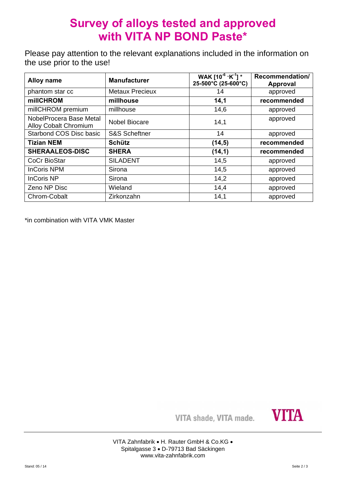# **Survey of alloys tested and approved with VITA NP BOND Paste\***

Please pay attention to the relevant explanations included in the information on the use prior to the use!

| <b>Alloy name</b>                                       | <b>Manufacturer</b>      | WAK $[10^{-6} \cdot K^{-1}]$ *<br>25-500°C (25-600°C) | Recommendation/<br><b>Approval</b> |
|---------------------------------------------------------|--------------------------|-------------------------------------------------------|------------------------------------|
| phantom star cc                                         | <b>Metaux Precieux</b>   | 14                                                    | approved                           |
| millCHROM                                               | millhouse                | 14,1                                                  | recommended                        |
| millCHROM premium                                       | millhouse                | 14,6                                                  | approved                           |
| NobelProcera Base Metal<br><b>Alloy Cobalt Chromium</b> | <b>Nobel Biocare</b>     | 14,1                                                  | approved                           |
| Starbond COS Disc basic                                 | <b>S&amp;S Scheftner</b> | 14                                                    | approved                           |
| <b>Tizian NEM</b>                                       | <b>Schütz</b>            | (14, 5)                                               | recommended                        |
| <b>SHERAALEOS-DISC</b>                                  | <b>SHERA</b>             | (14,1)                                                | recommended                        |
| <b>CoCr BioStar</b>                                     | <b>SILADENT</b>          | 14,5                                                  | approved                           |
| <b>InCoris NPM</b>                                      | Sirona                   | 14,5                                                  | approved                           |
| <b>InCoris NP</b>                                       | Sirona                   | 14,2                                                  | approved                           |
| Zeno NP Disc                                            | Wieland                  | 14,4                                                  | approved                           |
| Chrom-Cobalt                                            | Zirkonzahn               | 14,1                                                  | approved                           |

\*in combination with VITA VMK Master

VITA shade, VITA made.